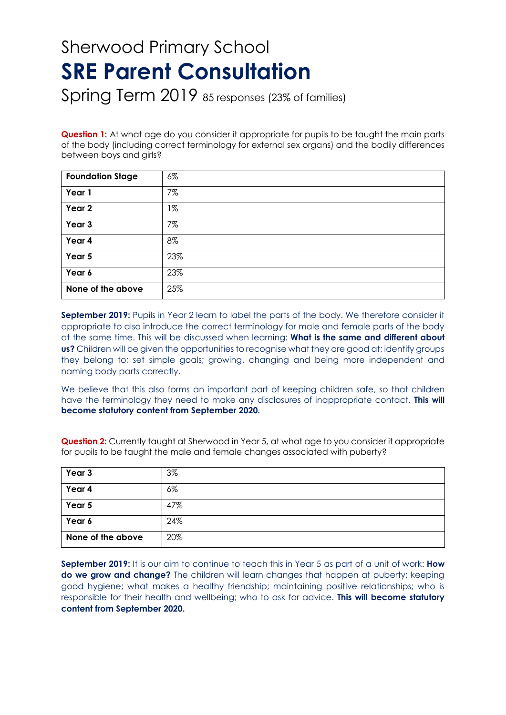## Sherwood Primary School **SRE Parent Consultation**

Spring Term 2019 85 responses (23% of families)

**Question 1:** At what age do you consider it appropriate for pupils to be taught the main parts of the body (including correct terminology for external sex organs) and the bodily differences between boys and airls?

| <b>Foundation Stage</b> | $6\%$ |
|-------------------------|-------|
| Year 1                  | 7%    |
| Year 2                  | $1\%$ |
| Year 3                  | 7%    |
| Year 4                  | 8%    |
| Year 5                  | 23%   |
| Year 6                  | 23%   |
| None of the above       | 25%   |

**September 2019:** Pupils in Year 2 learn to label the parts of the body. We therefore consider it appropriate to also introduce the correct terminology for male and female parts of the body at the same time. This will be discussed when learning: **What is the same and different about us?** Children will be given the opportunities to recognise what they are good at; identify groups they belong to; set simple goals; growing, changing and being more independent and naming body parts correctly.

We believe that this also forms an important part of keeping children safe, so that children have the terminology they need to make any disclosures of inappropriate contact. **This will become statutory content from September 2020.**

**Question 2:** Currently taught at Sherwood in Year 5, at what age to you consider it appropriate for pupils to be taught the male and female changes associated with puberty?

| Year 3            | 3%    |
|-------------------|-------|
| Year 4            | $6\%$ |
| Year 5            | 47%   |
| Year 6            | 24%   |
| None of the above | 20%   |

**September 2019:** It is our aim to continue to teach this in Year 5 as part of a unit of work: **How do we grow and change?** The children will learn changes that happen at puberty; keeping good hygiene; what makes a healthy friendship; maintaining positive relationships; who is responsible for their health and wellbeing; who to ask for advice. **This will become statutory content from September 2020.**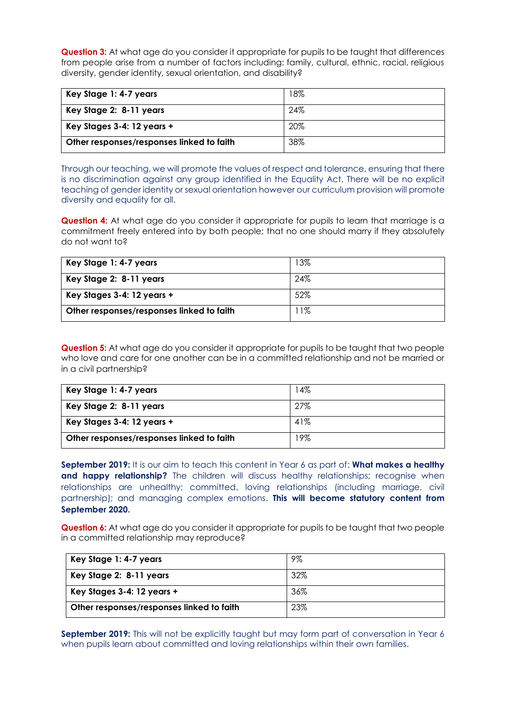**Question 3:** At what age do you consider it appropriate for pupils to be taught that differences from people arise from a number of factors including: family, cultural, ethnic, racial, religious diversity, gender identity, sexual orientation, and disability?

| Key Stage 1: 4-7 years                    | 18% |
|-------------------------------------------|-----|
| Key Stage 2: 8-11 years                   | 24% |
| Key Stages 3-4: 12 years +                | 20% |
| Other responses/responses linked to faith | 38% |

Through our teaching, we will promote the values of respect and tolerance, ensuring that there is no discrimination against any group identified in the Equality Act. There will be no explicit teaching of gender identity or sexual orientation however our curriculum provision will promote diversity and equality for all.

**Question 4:** At what age do you consider it appropriate for pupils to learn that marriage is a commitment freely entered into by both people; that no one should marry if they absolutely do not want to?

| Key Stage 1: 4-7 years                    | 13%   |
|-------------------------------------------|-------|
| Key Stage 2: 8-11 years                   | 24%   |
| Key Stages 3-4: 12 years +                | 52%   |
| Other responses/responses linked to faith | $1\%$ |

**Question 5:** At what age do you consider it appropriate for pupils to be taught that two people who love and care for one another can be in a committed relationship and not be married or in a civil partnership?

| Key Stage 1: 4-7 years                    | 4%  |
|-------------------------------------------|-----|
| Key Stage 2: 8-11 years                   | 27% |
| Key Stages 3-4: 12 years +                | 41% |
| Other responses/responses linked to faith | 9%  |

**September 2019:** It is our aim to teach this content in Year 6 as part of: **What makes a healthy and happy relationship?** The children will discuss healthy relationships; recognise when relationships are unhealthy; committed, loving relationships (including marriage, civil partnership); and managing complex emotions. **This will become statutory content from September 2020.**

**Question 6:** At what age do you consider it appropriate for pupils to be taught that two people in a committed relationship may reproduce?

| Key Stage 1: 4-7 years                    | 9%  |
|-------------------------------------------|-----|
| Key Stage 2: 8-11 years                   | 32% |
| Key Stages 3-4: 12 years +                | 36% |
| Other responses/responses linked to faith | 23% |

**September 2019:** This will not be explicitly taught but may form part of conversation in Year 6 when pupils learn about committed and loving relationships within their own families.